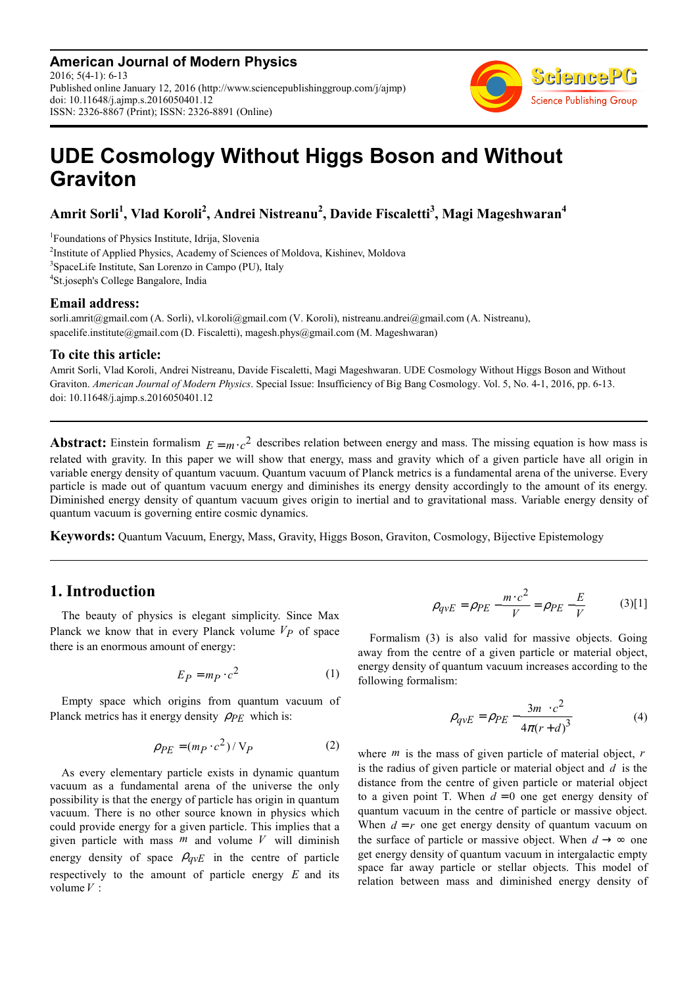**American Journal of Modern Physics** 2016; 5(4-1): 6-13 Published online January 12, 2016 (http://www.sciencepublishinggroup.com/j/ajmp) doi: 10.11648/j.ajmp.s.2016050401.12 ISSN: 2326-8867 (Print); ISSN: 2326-8891 (Online)



# **UDE Cosmology Without Higgs Boson and Without Graviton**

**Amrit Sorli<sup>1</sup> , Vlad Koroli<sup>2</sup> , Andrei Nistreanu<sup>2</sup> , Davide Fiscaletti<sup>3</sup> , Magi Mageshwaran<sup>4</sup>**

 Foundations of Physics Institute, Idrija, Slovenia <sup>2</sup>Institute of Applied Physics, Academy of Sciences of Moldova, Kishinev, Moldova SpaceLife Institute, San Lorenzo in Campo (PU), Italy St.joseph's College Bangalore, India

#### **Email address:**

sorli.amrit@gmail.com (A. Sorli), vl.koroli@gmail.com (V. Koroli), nistreanu.andrei@gmail.com (A. Nistreanu), spacelife.institute@gmail.com (D. Fiscaletti), magesh.phys@gmail.com (M. Mageshwaran)

#### **To cite this article:**

Amrit Sorli, Vlad Koroli, Andrei Nistreanu, Davide Fiscaletti, Magi Mageshwaran. UDE Cosmology Without Higgs Boson and Without Graviton. *American Journal of Modern Physics*. Special Issue: Insufficiency of Big Bang Cosmology. Vol. 5, No. 4-1, 2016, pp. 6-13. doi: 10.11648/j.ajmp.s.2016050401.12

**Abstract:** Einstein formalism  $E = mc^2$  describes relation between energy and mass. The missing equation is how mass is related with gravity. In this paper we will show that energy, mass and gravity which of a given particle have all origin in variable energy density of quantum vacuum. Quantum vacuum of Planck metrics is a fundamental arena of the universe. Every particle is made out of quantum vacuum energy and diminishes its energy density accordingly to the amount of its energy. Diminished energy density of quantum vacuum gives origin to inertial and to gravitational mass. Variable energy density of quantum vacuum is governing entire cosmic dynamics.

**Keywords:** Quantum Vacuum, Energy, Mass, Gravity, Higgs Boson, Graviton, Cosmology, Bijective Epistemology

# **1. Introduction**

The beauty of physics is elegant simplicity. Since Max Planck we know that in every Planck volume *VP* of space there is an enormous amount of energy:

$$
E_P = m_P \cdot c^2 \tag{1}
$$

Empty space which origins from quantum vacuum of Planck metrics has it energy density ρ*PE* which is:

$$
\rho_{PE} = (m_P \cdot c^2) / V_P \tag{2}
$$

As every elementary particle exists in dynamic quantum vacuum as a fundamental arena of the universe the only possibility is that the energy of particle has origin in quantum vacuum. There is no other source known in physics which could provide energy for a given particle. This implies that a given particle with mass *m* and volume *V* will diminish energy density of space  $\rho_{qvE}$  in the centre of particle respectively to the amount of particle energy *E* and its volume*V* :

$$
\rho_{qvE} = \rho_{PE} - \frac{m \cdot c^2}{V} = \rho_{PE} - \frac{E}{V}
$$
 (3)[1]

Formalism (3) is also valid for massive objects. Going away from the centre of a given particle or material object, energy density of quantum vacuum increases according to the following formalism:

$$
\rho_{qvE} = \rho_{PE} - \frac{3m \cdot c^2}{4\pi (r+d)^3}
$$
(4)

where *m* is the mass of given particle of material object, *r* is the radius of given particle or material object and *d* is the distance from the centre of given particle or material object to a given point T. When  $d = 0$  one get energy density of quantum vacuum in the centre of particle or massive object. When  $d = r$  one get energy density of quantum vacuum on the surface of particle or massive object. When  $d \rightarrow \infty$  one get energy density of quantum vacuum in intergalactic empty space far away particle or stellar objects. This model of relation between mass and diminished energy density of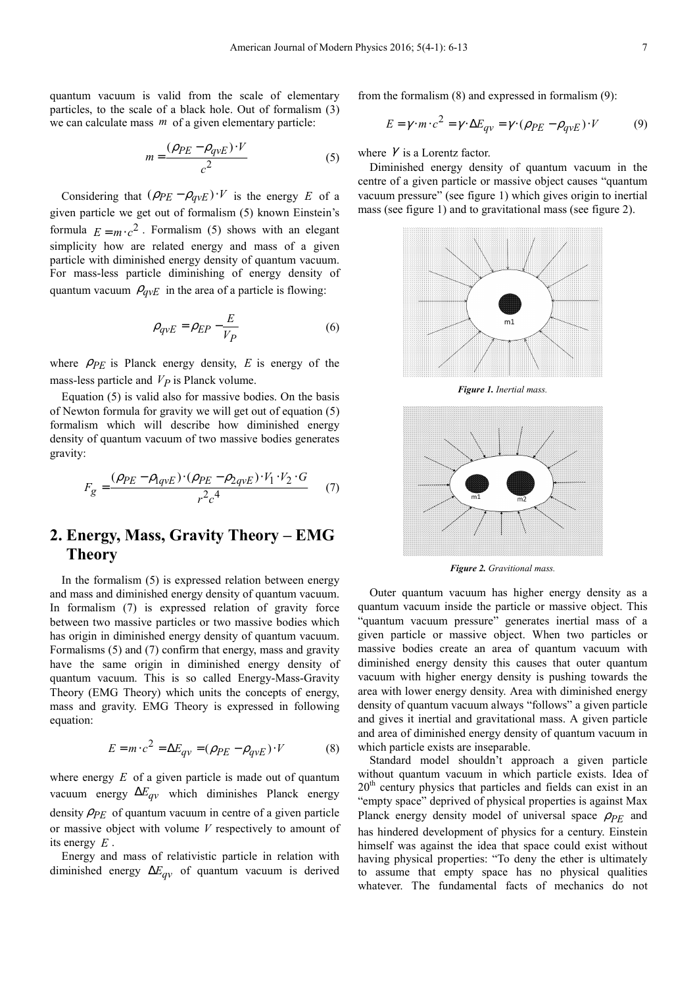quantum vacuum is valid from the scale of elementary particles, to the scale of a black hole. Out of formalism (3) we can calculate mass *m* of a given elementary particle:

$$
m = \frac{(\rho_{PE} - \rho_{qvE}) \cdot V}{c^2} \tag{5}
$$

Considering that  $(\rho_{PE} - \rho_{qvE}) \cdot V$  is the energy *E* of a given particle we get out of formalism (5) known Einstein's formula  $E = m \cdot c^2$ . Formalism (5) shows with an elegant simplicity how are related energy and mass of a given particle with diminished energy density of quantum vacuum. For mass-less particle diminishing of energy density of quantum vacuum  $\rho_{qvE}$  in the area of a particle is flowing:

$$
\rho_{qvE} = \rho_{EP} - \frac{E}{V_P} \tag{6}
$$

where  $\rho_{PE}$  is Planck energy density,  $E$  is energy of the mass-less particle and *VP* is Planck volume.

Equation (5) is valid also for massive bodies. On the basis of Newton formula for gravity we will get out of equation (5) formalism which will describe how diminished energy density of quantum vacuum of two massive bodies generates gravity:

$$
F_g = \frac{(\rho_{PE} - \rho_{lqvE}) \cdot (\rho_{PE} - \rho_{2qvE}) \cdot V_1 \cdot V_2 \cdot G}{r^2 c^4} \tag{7}
$$

## **2. Energy, Mass, Gravity Theory – EMG Theory**

In the formalism (5) is expressed relation between energy and mass and diminished energy density of quantum vacuum. In formalism (7) is expressed relation of gravity force between two massive particles or two massive bodies which has origin in diminished energy density of quantum vacuum. Formalisms (5) and (7) confirm that energy, mass and gravity have the same origin in diminished energy density of quantum vacuum. This is so called Energy-Mass-Gravity Theory (EMG Theory) which units the concepts of energy, mass and gravity. EMG Theory is expressed in following equation:

$$
E = m \cdot c^2 = \Delta E_{qv} = (\rho_{PE} - \rho_{qvE}) \cdot V \tag{8}
$$

where energy *E* of a given particle is made out of quantum vacuum energy  $\Delta E_{qv}$  which diminishes Planck energy density  $\rho_{PE}$  of quantum vacuum in centre of a given particle or massive object with volume *V* respectively to amount of its energy *E* .

Energy and mass of relativistic particle in relation with diminished energy ∆*Eqv* of quantum vacuum is derived from the formalism (8) and expressed in formalism (9):

$$
E = \gamma \cdot m \cdot c^2 = \gamma \cdot \Delta E_{qv} = \gamma \cdot (\rho_{PE} - \rho_{qvE}) \cdot V \tag{9}
$$

where  $\gamma$  is a Lorentz factor.

Diminished energy density of quantum vacuum in the centre of a given particle or massive object causes "quantum vacuum pressure" (see figure 1) which gives origin to inertial mass (see figure 1) and to gravitational mass (see figure 2).



*Figure 1. Inertial mass.*



*Figure 2. Gravitional mass.* 

Outer quantum vacuum has higher energy density as a quantum vacuum inside the particle or massive object. This "quantum vacuum pressure" generates inertial mass of a given particle or massive object. When two particles or massive bodies create an area of quantum vacuum with diminished energy density this causes that outer quantum vacuum with higher energy density is pushing towards the area with lower energy density. Area with diminished energy density of quantum vacuum always "follows" a given particle and gives it inertial and gravitational mass. A given particle and area of diminished energy density of quantum vacuum in which particle exists are inseparable.

Standard model shouldn't approach a given particle without quantum vacuum in which particle exists. Idea of  $20<sup>th</sup>$  century physics that particles and fields can exist in an "empty space" deprived of physical properties is against Max Planck energy density model of universal space  $\rho_{PF}$  and has hindered development of physics for a century. Einstein himself was against the idea that space could exist without having physical properties: "To deny the ether is ultimately to assume that empty space has no physical qualities whatever. The fundamental facts of mechanics do not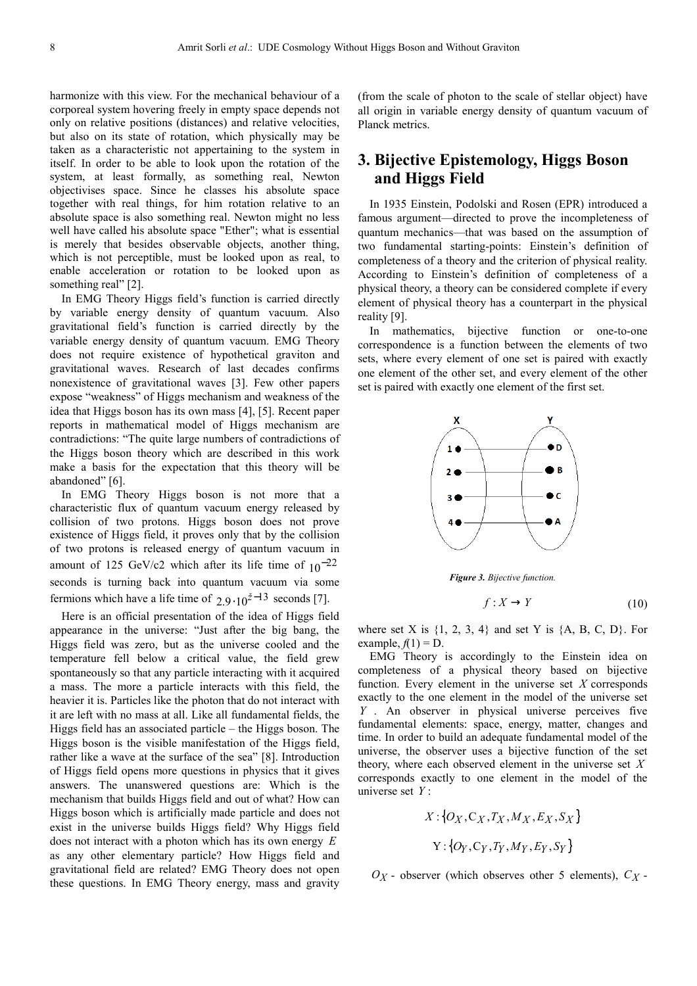harmonize with this view. For the mechanical behaviour of a corporeal system hovering freely in empty space depends not only on relative positions (distances) and relative velocities, but also on its state of rotation, which physically may be taken as a characteristic not appertaining to the system in itself. In order to be able to look upon the rotation of the system, at least formally, as something real, Newton objectivises space. Since he classes his absolute space together with real things, for him rotation relative to an absolute space is also something real. Newton might no less well have called his absolute space "Ether"; what is essential is merely that besides observable objects, another thing, which is not perceptible, must be looked upon as real, to enable acceleration or rotation to be looked upon as something real" [2].

In EMG Theory Higgs field's function is carried directly by variable energy density of quantum vacuum. Also gravitational field's function is carried directly by the variable energy density of quantum vacuum. EMG Theory does not require existence of hypothetical graviton and gravitational waves. Research of last decades confirms nonexistence of gravitational waves [3]. Few other papers expose "weakness" of Higgs mechanism and weakness of the idea that Higgs boson has its own mass [4], [5]. Recent paper reports in mathematical model of Higgs mechanism are contradictions: "The quite large numbers of contradictions of the Higgs boson theory which are described in this work make a basis for the expectation that this theory will be abandoned" [6].

In EMG Theory Higgs boson is not more that a characteristic flux of quantum vacuum energy released by collision of two protons. Higgs boson does not prove existence of Higgs field, it proves only that by the collision of two protons is released energy of quantum vacuum in amount of 125 GeV/c2 which after its life time of  $10^{-22}$ seconds is turning back into quantum vacuum via some fermions which have a life time of  $2.9 \cdot 10^{z-13}$  seconds [7].

Here is an official presentation of the idea of Higgs field appearance in the universe: "Just after the big bang, the Higgs field was zero, but as the universe cooled and the temperature fell below a critical value, the field grew spontaneously so that any particle interacting with it acquired a mass. The more a particle interacts with this field, the heavier it is. Particles like the photon that do not interact with it are left with no mass at all. Like all fundamental fields, the Higgs field has an associated particle – the Higgs boson. The Higgs boson is the visible manifestation of the Higgs field, rather like a wave at the surface of the sea" [8]. Introduction of Higgs field opens more questions in physics that it gives answers. The unanswered questions are: Which is the mechanism that builds Higgs field and out of what? How can Higgs boson which is artificially made particle and does not exist in the universe builds Higgs field? Why Higgs field does not interact with a photon which has its own energy *E* as any other elementary particle? How Higgs field and gravitational field are related? EMG Theory does not open these questions. In EMG Theory energy, mass and gravity (from the scale of photon to the scale of stellar object) have all origin in variable energy density of quantum vacuum of Planck metrics.

## **3. Bijective Epistemology, Higgs Boson and Higgs Field**

In 1935 Einstein, Podolski and Rosen (EPR) introduced a famous argument—directed to prove the incompleteness of quantum mechanics—that was based on the assumption of two fundamental starting-points: Einstein's definition of completeness of a theory and the criterion of physical reality. According to Einstein's definition of completeness of a physical theory, a theory can be considered complete if every element of physical theory has a counterpart in the physical reality [9].

In mathematics, bijective function or one-to-one correspondence is a function between the elements of two sets, where every element of one set is paired with exactly one element of the other set, and every element of the other set is paired with exactly one element of the first set.



*Figure 3. Bijective function.*

$$
f: X \to Y \tag{10}
$$

where set X is  $\{1, 2, 3, 4\}$  and set Y is  $\{A, B, C, D\}$ . For example,  $f(1) = D$ .

EMG Theory is accordingly to the Einstein idea on completeness of a physical theory based on bijective function. Every element in the universe set *X* corresponds exactly to the one element in the model of the universe set *Y* . An observer in physical universe perceives five fundamental elements: space, energy, matter, changes and time. In order to build an adequate fundamental model of the universe, the observer uses a bijective function of the set theory, where each observed element in the universe set *X* corresponds exactly to one element in the model of the universe set *Y* :

$$
X: \{O_X, C_X, T_X, M_X, E_X, S_X\}
$$

$$
Y: \{O_Y, C_Y, T_Y, M_Y, E_Y, S_Y\}
$$

 $O_X$  - observer (which observes other 5 elements),  $C_X$  -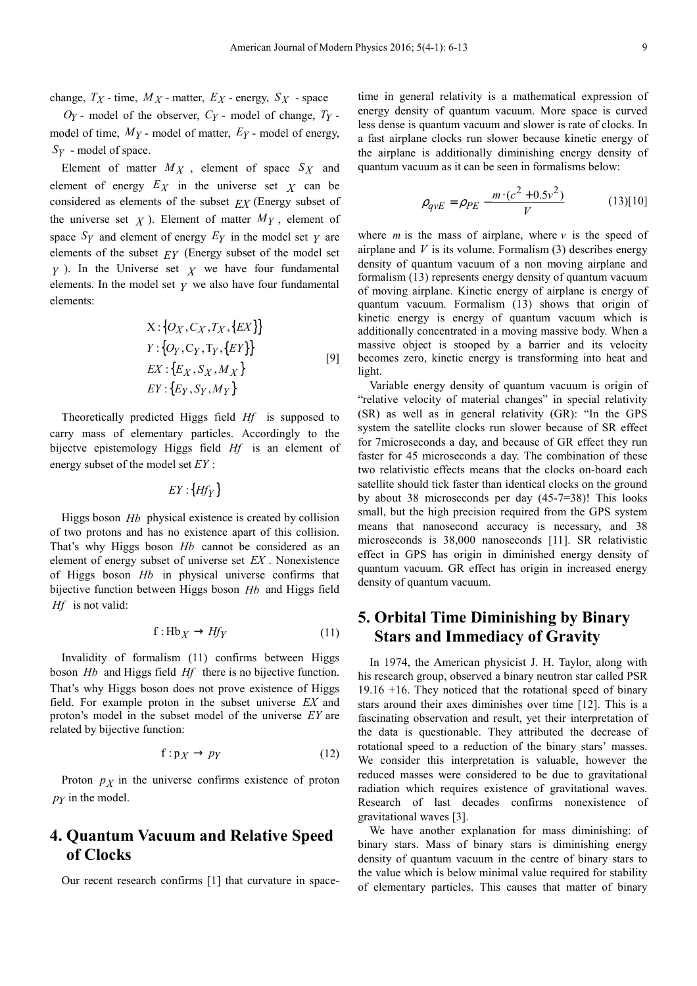change,  $T_X$  - time,  $M_X$  - matter,  $E_X$  - energy,  $S_X$  - space

 $O_Y$  - model of the observer,  $C_Y$  - model of change,  $T_Y$  model of time, *MY* - model of matter, *EY* - model of energy, *Y S* - model of space.

Element of matter  $M_X$ , element of space  $S_X$  and element of energy  $E_X$  in the universe set  $\chi$  can be considered as elements of the subset *EX* (Energy subset of the universe set  $\chi$ ). Element of matter  $M_Y$ , element of space  $S_Y$  and element of energy  $E_Y$  in the model set  $Y$  are elements of the subset *EY* (Energy subset of the model set *Y* ). In the Universe set *X* we have four fundamental elements. In the model set  $\gamma$  we also have four fundamental elements:

$$
X: \{O_X, C_X, T_X, \{EX\}\}\
$$
  
\n
$$
Y: \{O_Y, C_Y, T_Y, \{EY\}\}\
$$
  
\n
$$
EX: \{E_X, S_X, M_X\}\
$$
  
\n
$$
EY: \{E_Y, S_Y, M_Y\}\
$$
  
\n
$$
(9)
$$

Theoretically predicted Higgs field *Hf* is supposed to carry mass of elementary particles. Accordingly to the bijectve epistemology Higgs field *Hf* is an element of energy subset of the model set *EY* :

 $EY$  : {*Hf*  $_Y$  }

Higgs boson *Hb* physical existence is created by collision of two protons and has no existence apart of this collision. That's why Higgs boson *Hb* cannot be considered as an element of energy subset of universe set *EX* . Nonexistence of Higgs boson *Hb* in physical universe confirms that bijective function between Higgs boson *Hb* and Higgs field *Hf* is not valid:

$$
f: Hb_X \to Hf_Y \tag{11}
$$

Invalidity of formalism (11) confirms between Higgs boson *Hb* and Higgs field *Hf* there is no bijective function. That's why Higgs boson does not prove existence of Higgs field. For example proton in the subset universe *EX* and proton's model in the subset model of the universe *EY* are related by bijective function:

$$
f: p_X \to p_Y \tag{12}
$$

Proton  $p<sub>X</sub>$  in the universe confirms existence of proton  $p_Y$  in the model.

## **4. Quantum Vacuum and Relative Speed of Clocks**

Our recent research confirms [1] that curvature in space-

time in general relativity is a mathematical expression of energy density of quantum vacuum. More space is curved less dense is quantum vacuum and slower is rate of clocks. In a fast airplane clocks run slower because kinetic energy of the airplane is additionally diminishing energy density of quantum vacuum as it can be seen in formalisms below:

$$
\rho_{qvE} = \rho_{PE} - \frac{m \cdot (c^2 + 0.5v^2)}{V}
$$
 (13)[10]

where  $m$  is the mass of airplane, where  $\nu$  is the speed of airplane and  $V$  is its volume. Formalism  $(3)$  describes energy density of quantum vacuum of a non moving airplane and formalism (13) represents energy density of quantum vacuum of moving airplane. Kinetic energy of airplane is energy of quantum vacuum. Formalism (13) shows that origin of kinetic energy is energy of quantum vacuum which is additionally concentrated in a moving massive body. When a massive object is stooped by a barrier and its velocity becomes zero, kinetic energy is transforming into heat and light.

Variable energy density of quantum vacuum is origin of "relative velocity of material changes" in special relativity (SR) as well as in general relativity (GR): "In the GPS system the satellite clocks run slower because of SR effect for 7microseconds a day, and because of GR effect they run faster for 45 microseconds a day. The combination of these two relativistic effects means that the clocks on-board each satellite should tick faster than identical clocks on the ground by about 38 microseconds per day (45-7=38)! This looks small, but the high precision required from the GPS system means that nanosecond accuracy is necessary, and 38 microseconds is 38,000 nanoseconds [11]. SR relativistic effect in GPS has origin in diminished energy density of quantum vacuum. GR effect has origin in increased energy density of quantum vacuum.

## **5. Orbital Time Diminishing by Binary Stars and Immediacy of Gravity**

In 1974, the American physicist J. H. Taylor, along with his research group, observed a binary neutron star called PSR 19.16 +16. They noticed that the rotational speed of binary stars around their axes diminishes over time [12]. This is a fascinating observation and result, yet their interpretation of the data is questionable. They attributed the decrease of rotational speed to a reduction of the binary stars' masses. We consider this interpretation is valuable, however the reduced masses were considered to be due to gravitational radiation which requires existence of gravitational waves. Research of last decades confirms nonexistence of gravitational waves [3].

We have another explanation for mass diminishing: of binary stars. Mass of binary stars is diminishing energy density of quantum vacuum in the centre of binary stars to the value which is below minimal value required for stability of elementary particles. This causes that matter of binary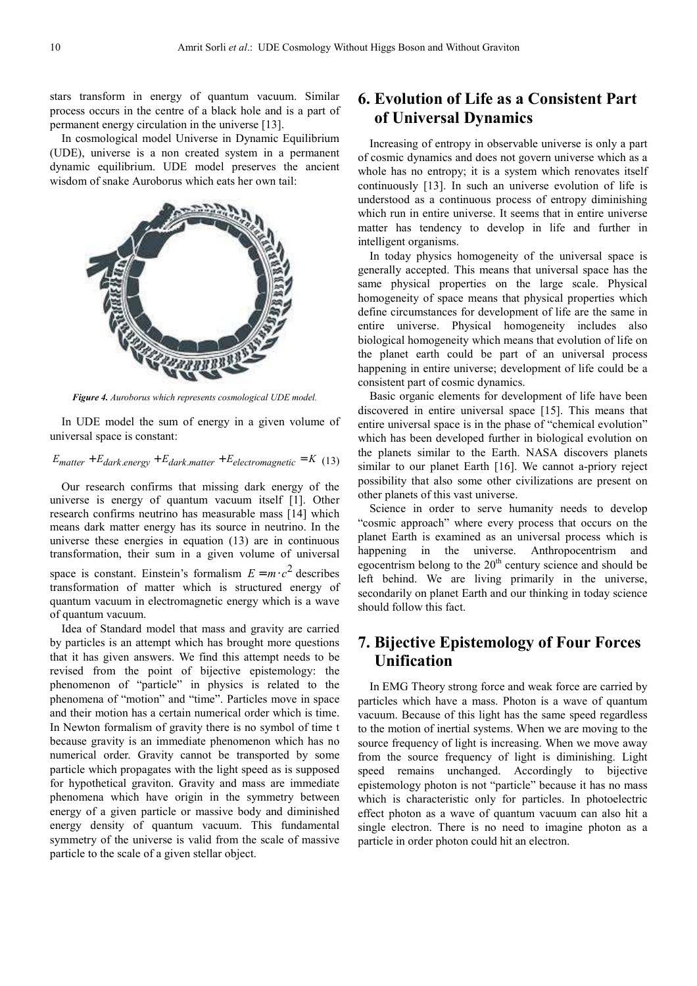stars transform in energy of quantum vacuum. Similar process occurs in the centre of a black hole and is a part of permanent energy circulation in the universe [13].

In cosmological model Universe in Dynamic Equilibrium (UDE), universe is a non created system in a permanent dynamic equilibrium. UDE model preserves the ancient wisdom of snake Auroborus which eats her own tail:



*Figure 4. Auroborus which represents cosmological UDE model.* 

In UDE model the sum of energy in a given volume of universal space is constant:

#### $E_{matter} + E_{dark, energy} + E_{dark, matter} + E_{electromagnetic} = K$  (13)

Our research confirms that missing dark energy of the universe is energy of quantum vacuum itself [1]. Other research confirms neutrino has measurable mass [14] which means dark matter energy has its source in neutrino. In the universe these energies in equation (13) are in continuous transformation, their sum in a given volume of universal space is constant. Einstein's formalism  $E = m \cdot c^2$  describes transformation of matter which is structured energy of quantum vacuum in electromagnetic energy which is a wave of quantum vacuum.

Idea of Standard model that mass and gravity are carried by particles is an attempt which has brought more questions that it has given answers. We find this attempt needs to be revised from the point of bijective epistemology: the phenomenon of "particle" in physics is related to the phenomena of "motion" and "time". Particles move in space and their motion has a certain numerical order which is time. In Newton formalism of gravity there is no symbol of time t because gravity is an immediate phenomenon which has no numerical order. Gravity cannot be transported by some particle which propagates with the light speed as is supposed for hypothetical graviton. Gravity and mass are immediate phenomena which have origin in the symmetry between energy of a given particle or massive body and diminished energy density of quantum vacuum. This fundamental symmetry of the universe is valid from the scale of massive particle to the scale of a given stellar object.

# **6. Evolution of Life as a Consistent Part of Universal Dynamics**

Increasing of entropy in observable universe is only a part of cosmic dynamics and does not govern universe which as a whole has no entropy; it is a system which renovates itself continuously [13]. In such an universe evolution of life is understood as a continuous process of entropy diminishing which run in entire universe. It seems that in entire universe matter has tendency to develop in life and further in intelligent organisms.

In today physics homogeneity of the universal space is generally accepted. This means that universal space has the same physical properties on the large scale. Physical homogeneity of space means that physical properties which define circumstances for development of life are the same in entire universe. Physical homogeneity includes also biological homogeneity which means that evolution of life on the planet earth could be part of an universal process happening in entire universe; development of life could be a consistent part of cosmic dynamics.

Basic organic elements for development of life have been discovered in entire universal space [15]. This means that entire universal space is in the phase of "chemical evolution" which has been developed further in biological evolution on the planets similar to the Earth. NASA discovers planets similar to our planet Earth [16]. We cannot a-priory reject possibility that also some other civilizations are present on other planets of this vast universe.

Science in order to serve humanity needs to develop "cosmic approach" where every process that occurs on the planet Earth is examined as an universal process which is happening in the universe. Anthropocentrism and egocentrism belong to the  $20<sup>th</sup>$  century science and should be left behind. We are living primarily in the universe, secondarily on planet Earth and our thinking in today science should follow this fact.

## **7. Bijective Epistemology of Four Forces Unification**

In EMG Theory strong force and weak force are carried by particles which have a mass. Photon is a wave of quantum vacuum. Because of this light has the same speed regardless to the motion of inertial systems. When we are moving to the source frequency of light is increasing. When we move away from the source frequency of light is diminishing. Light speed remains unchanged. Accordingly to bijective epistemology photon is not "particle" because it has no mass which is characteristic only for particles. In photoelectric effect photon as a wave of quantum vacuum can also hit a single electron. There is no need to imagine photon as a particle in order photon could hit an electron.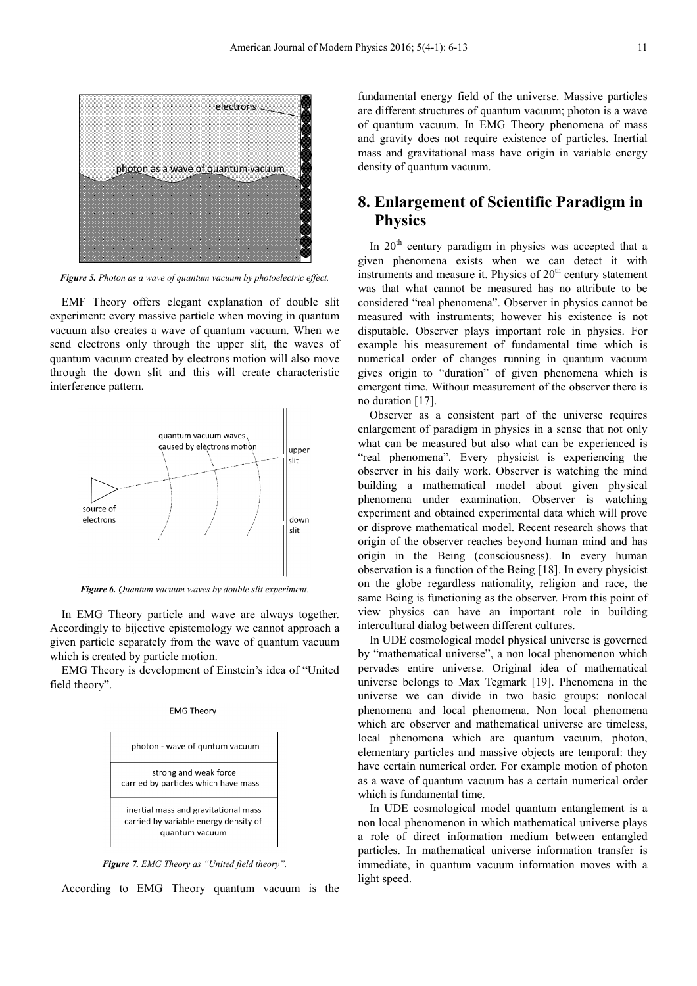

*Figure 5. Photon as a wave of quantum vacuum by photoelectric effect.* 

EMF Theory offers elegant explanation of double slit experiment: every massive particle when moving in quantum vacuum also creates a wave of quantum vacuum. When we send electrons only through the upper slit, the waves of quantum vacuum created by electrons motion will also move through the down slit and this will create characteristic interference pattern.



*Figure 6. Quantum vacuum waves by double slit experiment.* 

In EMG Theory particle and wave are always together. Accordingly to bijective epistemology we cannot approach a given particle separately from the wave of quantum vacuum which is created by particle motion.

EMG Theory is development of Einstein's idea of "United field theory".



*Figure 7. EMG Theory as "United field theory".*

According to EMG Theory quantum vacuum is the

fundamental energy field of the universe. Massive particles are different structures of quantum vacuum; photon is a wave of quantum vacuum. In EMG Theory phenomena of mass and gravity does not require existence of particles. Inertial mass and gravitational mass have origin in variable energy density of quantum vacuum.

## **8. Enlargement of Scientific Paradigm in Physics**

In  $20<sup>th</sup>$  century paradigm in physics was accepted that a given phenomena exists when we can detect it with instruments and measure it. Physics of  $20<sup>th</sup>$  century statement was that what cannot be measured has no attribute to be considered "real phenomena". Observer in physics cannot be measured with instruments; however his existence is not disputable. Observer plays important role in physics. For example his measurement of fundamental time which is numerical order of changes running in quantum vacuum gives origin to "duration" of given phenomena which is emergent time. Without measurement of the observer there is no duration [17].

Observer as a consistent part of the universe requires enlargement of paradigm in physics in a sense that not only what can be measured but also what can be experienced is "real phenomena". Every physicist is experiencing the observer in his daily work. Observer is watching the mind building a mathematical model about given physical phenomena under examination. Observer is watching experiment and obtained experimental data which will prove or disprove mathematical model. Recent research shows that origin of the observer reaches beyond human mind and has origin in the Being (consciousness). In every human observation is a function of the Being [18]. In every physicist on the globe regardless nationality, religion and race, the same Being is functioning as the observer. From this point of view physics can have an important role in building intercultural dialog between different cultures.

In UDE cosmological model physical universe is governed by "mathematical universe", a non local phenomenon which pervades entire universe. Original idea of mathematical universe belongs to Max Tegmark [19]. Phenomena in the universe we can divide in two basic groups: nonlocal phenomena and local phenomena. Non local phenomena which are observer and mathematical universe are timeless, local phenomena which are quantum vacuum, photon, elementary particles and massive objects are temporal: they have certain numerical order. For example motion of photon as a wave of quantum vacuum has a certain numerical order which is fundamental time.

In UDE cosmological model quantum entanglement is a non local phenomenon in which mathematical universe plays a role of direct information medium between entangled particles. In mathematical universe information transfer is immediate, in quantum vacuum information moves with a light speed.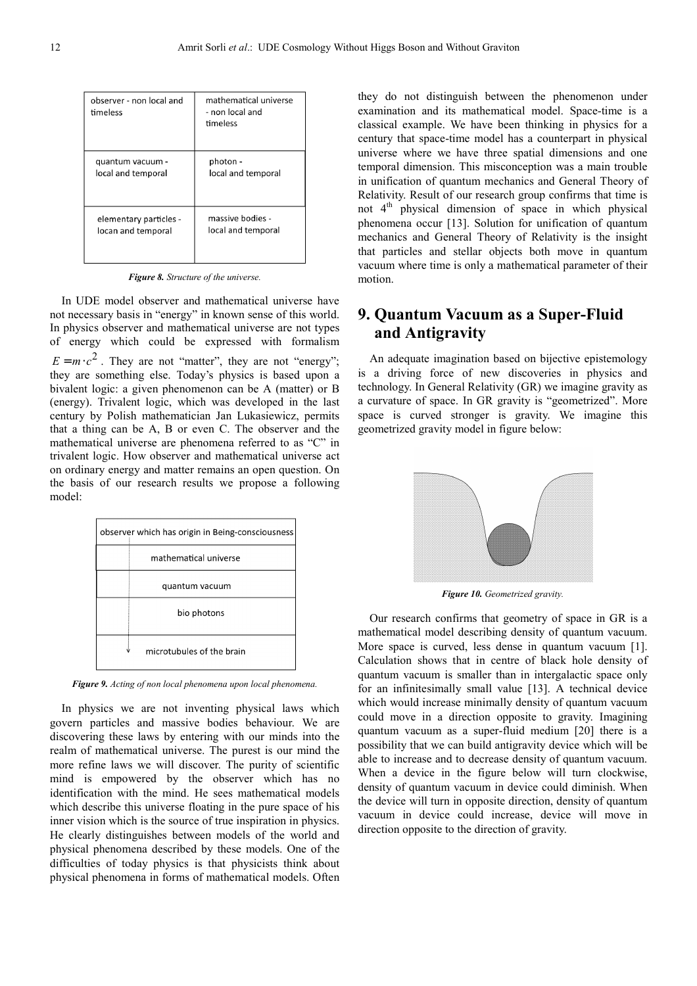| observer - non local and<br>timeless | mathematical universe<br>- non local and<br>timeless |
|--------------------------------------|------------------------------------------------------|
| quantum vacuum -                     | photon -                                             |
| local and temporal                   | local and temporal                                   |
| elementary particles -               | massive bodies -                                     |
| locan and temporal                   | local and temporal                                   |

*Figure 8. Structure of the universe.* 

In UDE model observer and mathematical universe have not necessary basis in "energy" in known sense of this world. In physics observer and mathematical universe are not types of energy which could be expressed with formalism  $E = m \cdot c^2$ . They are not "matter", they are not "energy"; they are something else. Today's physics is based upon a bivalent logic: a given phenomenon can be A (matter) or B (energy). Trivalent logic, which was developed in the last century by Polish mathematician Jan Lukasiewicz, permits that a thing can be A, B or even C. The observer and the mathematical universe are phenomena referred to as "C" in trivalent logic. How observer and mathematical universe act on ordinary energy and matter remains an open question. On the basis of our research results we propose a following model:



*Figure 9. Acting of non local phenomena upon local phenomena.*

In physics we are not inventing physical laws which govern particles and massive bodies behaviour. We are discovering these laws by entering with our minds into the realm of mathematical universe. The purest is our mind the more refine laws we will discover. The purity of scientific mind is empowered by the observer which has no identification with the mind. He sees mathematical models which describe this universe floating in the pure space of his inner vision which is the source of true inspiration in physics. He clearly distinguishes between models of the world and physical phenomena described by these models. One of the difficulties of today physics is that physicists think about physical phenomena in forms of mathematical models. Often they do not distinguish between the phenomenon under examination and its mathematical model. Space-time is a classical example. We have been thinking in physics for a century that space-time model has a counterpart in physical universe where we have three spatial dimensions and one temporal dimension. This misconception was a main trouble in unification of quantum mechanics and General Theory of Relativity. Result of our research group confirms that time is not 4<sup>th</sup> physical dimension of space in which physical phenomena occur [13]. Solution for unification of quantum mechanics and General Theory of Relativity is the insight that particles and stellar objects both move in quantum vacuum where time is only a mathematical parameter of their motion.

# **9. Quantum Vacuum as a Super-Fluid and Antigravity**

An adequate imagination based on bijective epistemology is a driving force of new discoveries in physics and technology. In General Relativity (GR) we imagine gravity as a curvature of space. In GR gravity is "geometrized". More space is curved stronger is gravity. We imagine this geometrized gravity model in figure below:



*Figure 10. Geometrized gravity.* 

Our research confirms that geometry of space in GR is a mathematical model describing density of quantum vacuum. More space is curved, less dense in quantum vacuum [1]. Calculation shows that in centre of black hole density of quantum vacuum is smaller than in intergalactic space only for an infinitesimally small value [13]. A technical device which would increase minimally density of quantum vacuum could move in a direction opposite to gravity. Imagining quantum vacuum as a super-fluid medium [20] there is a possibility that we can build antigravity device which will be able to increase and to decrease density of quantum vacuum. When a device in the figure below will turn clockwise, density of quantum vacuum in device could diminish. When the device will turn in opposite direction, density of quantum vacuum in device could increase, device will move in direction opposite to the direction of gravity.